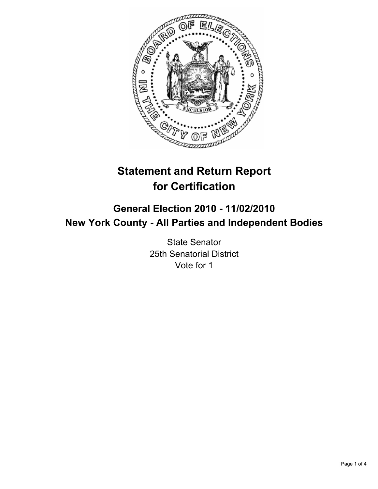

# **Statement and Return Report for Certification**

# **General Election 2010 - 11/02/2010 New York County - All Parties and Independent Bodies**

State Senator 25th Senatorial District Vote for 1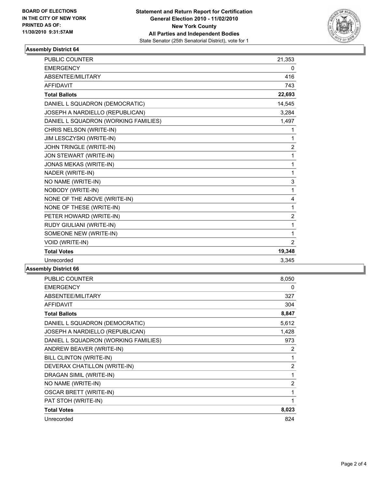

## **Assembly District 64**

| <b>PUBLIC COUNTER</b>                | 21,353         |
|--------------------------------------|----------------|
| <b>EMERGENCY</b>                     | 0              |
| ABSENTEE/MILITARY                    | 416            |
| <b>AFFIDAVIT</b>                     | 743            |
| <b>Total Ballots</b>                 | 22,693         |
| DANIEL L SQUADRON (DEMOCRATIC)       | 14,545         |
| JOSEPH A NARDIELLO (REPUBLICAN)      | 3,284          |
| DANIEL L SQUADRON (WORKING FAMILIES) | 1,497          |
| CHRIS NELSON (WRITE-IN)              | 1              |
| JIM LESCZYSKI (WRITE-IN)             | 1              |
| JOHN TRINGLE (WRITE-IN)              | $\overline{c}$ |
| JON STEWART (WRITE-IN)               | $\mathbf{1}$   |
| <b>JONAS MEKAS (WRITE-IN)</b>        | 1              |
| NADER (WRITE-IN)                     | $\mathbf{1}$   |
| NO NAME (WRITE-IN)                   | 3              |
| NOBODY (WRITE-IN)                    | $\mathbf{1}$   |
| NONE OF THE ABOVE (WRITE-IN)         | 4              |
| NONE OF THESE (WRITE-IN)             | $\mathbf 1$    |
| PETER HOWARD (WRITE-IN)              | $\overline{2}$ |
| RUDY GIULIANI (WRITE-IN)             | $\mathbf{1}$   |
| SOMEONE NEW (WRITE-IN)               | 1              |
| VOID (WRITE-IN)                      | $\overline{2}$ |
| <b>Total Votes</b>                   | 19,348         |
| Unrecorded                           | 3,345          |
|                                      |                |

#### **Assembly District 66**

| <b>PUBLIC COUNTER</b>                | 8,050 |
|--------------------------------------|-------|
| <b>EMERGENCY</b>                     | 0     |
| ABSENTEE/MILITARY                    | 327   |
| <b>AFFIDAVIT</b>                     | 304   |
| <b>Total Ballots</b>                 | 8,847 |
| DANIEL L SQUADRON (DEMOCRATIC)       | 5,612 |
| JOSEPH A NARDIELLO (REPUBLICAN)      | 1,428 |
| DANIEL L SQUADRON (WORKING FAMILIES) | 973   |
| ANDREW BEAVER (WRITE-IN)             | 2     |
| BILL CLINTON (WRITE-IN)              | 1     |
| DEVERAX CHATILLON (WRITE-IN)         | 2     |
| DRAGAN SIMIL (WRITE-IN)              | 1     |
| NO NAME (WRITE-IN)                   | 2     |
| <b>OSCAR BRETT (WRITE-IN)</b>        | 1     |
| PAT STOH (WRITE-IN)                  | 1     |
| <b>Total Votes</b>                   | 8,023 |
| Unrecorded                           | 824   |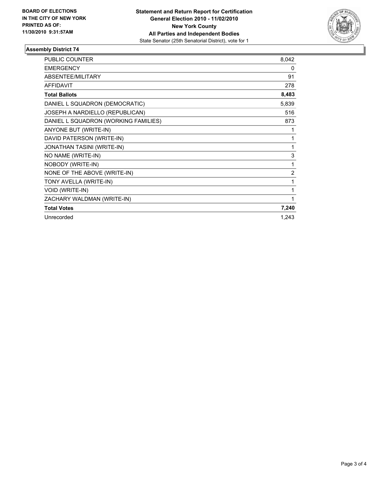

## **Assembly District 74**

| <b>PUBLIC COUNTER</b>                | 8,042          |
|--------------------------------------|----------------|
| <b>EMERGENCY</b>                     | 0              |
| ABSENTEE/MILITARY                    | 91             |
| <b>AFFIDAVIT</b>                     | 278            |
| <b>Total Ballots</b>                 | 8,483          |
| DANIEL L SQUADRON (DEMOCRATIC)       | 5,839          |
| JOSEPH A NARDIELLO (REPUBLICAN)      | 516            |
| DANIEL L SQUADRON (WORKING FAMILIES) | 873            |
| ANYONE BUT (WRITE-IN)                | 1              |
| DAVID PATERSON (WRITE-IN)            | 1              |
| JONATHAN TASINI (WRITE-IN)           | 1              |
| NO NAME (WRITE-IN)                   | 3              |
| NOBODY (WRITE-IN)                    | 1              |
| NONE OF THE ABOVE (WRITE-IN)         | $\overline{2}$ |
| TONY AVELLA (WRITE-IN)               | 1              |
| VOID (WRITE-IN)                      | 1              |
| ZACHARY WALDMAN (WRITE-IN)           | 1              |
| <b>Total Votes</b>                   | 7,240          |
| Unrecorded                           | 1,243          |